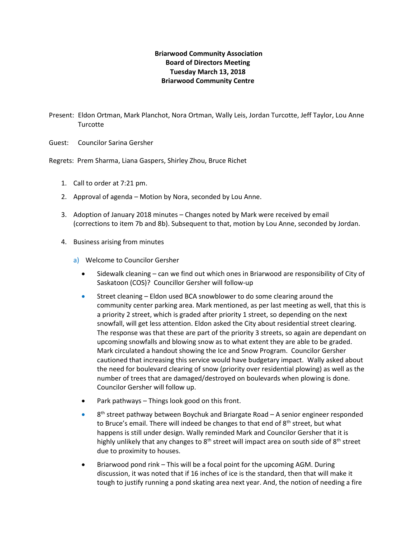## **Briarwood Community Association Board of Directors Meeting Tuesday March 13, 2018 Briarwood Community Centre**

Present: Eldon Ortman, Mark Planchot, Nora Ortman, Wally Leis, Jordan Turcotte, Jeff Taylor, Lou Anne **Turcotte** 

Guest: Councilor Sarina Gersher

Regrets: Prem Sharma, Liana Gaspers, Shirley Zhou, Bruce Richet

- 1. Call to order at 7:21 pm.
- 2. Approval of agenda Motion by Nora, seconded by Lou Anne.
- 3. Adoption of January 2018 minutes Changes noted by Mark were received by email (corrections to item 7b and 8b). Subsequent to that, motion by Lou Anne, seconded by Jordan.
- 4. Business arising from minutes
	- a) Welcome to Councilor Gersher
		- Sidewalk cleaning can we find out which ones in Briarwood are responsibility of City of Saskatoon (COS)? Councillor Gersher will follow-up
		- Street cleaning Eldon used BCA snowblower to do some clearing around the community center parking area. Mark mentioned, as per last meeting as well, that this is a priority 2 street, which is graded after priority 1 street, so depending on the next snowfall, will get less attention. Eldon asked the City about residential street clearing. The response was that these are part of the priority 3 streets, so again are dependant on upcoming snowfalls and blowing snow as to what extent they are able to be graded. Mark circulated a handout showing the Ice and Snow Program. Councilor Gersher cautioned that increasing this service would have budgetary impact. Wally asked about the need for boulevard clearing of snow (priority over residential plowing) as well as the number of trees that are damaged/destroyed on boulevards when plowing is done. Councilor Gersher will follow up.
		- Park pathways Things look good on this front.
		- $\bullet$  8<sup>th</sup> street pathway between Boychuk and Briargate Road A senior engineer responded to Bruce's email. There will indeed be changes to that end of  $8<sup>th</sup>$  street, but what happens is still under design. Wally reminded Mark and Councilor Gersher that it is highly unlikely that any changes to  $8<sup>th</sup>$  street will impact area on south side of  $8<sup>th</sup>$  street due to proximity to houses.
		- Briarwood pond rink This will be a focal point for the upcoming AGM. During discussion, it was noted that if 16 inches of ice is the standard, then that will make it tough to justify running a pond skating area next year. And, the notion of needing a fire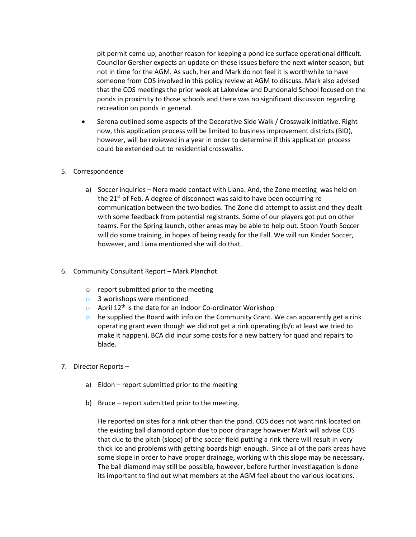pit permit came up, another reason for keeping a pond ice surface operational difficult. Councilor Gersher expects an update on these issues before the next winter season, but not in time for the AGM. As such, her and Mark do not feel it is worthwhile to have someone from COS involved in this policy review at AGM to discuss. Mark also advised that the COS meetings the prior week at Lakeview and Dundonald School focused on the ponds in proximity to those schools and there was no significant discussion regarding recreation on ponds in general.

• Serena outlined some aspects of the Decorative Side Walk / Crosswalk initiative. Right now, this application process will be limited to business improvement districts (BID), however, will be reviewed in a year in order to determine if this application process could be extended out to residential crosswalks.

## 5. Correspondence

- a) Soccer inquiries Nora made contact with Liana. And, the Zone meeting was held on the  $21<sup>st</sup>$  of Feb. A degree of disconnect was said to have been occurring re communication between the two bodies. The Zone did attempt to assist and they dealt with some feedback from potential registrants. Some of our players got put on other teams. For the Spring launch, other areas may be able to help out. Stoon Youth Soccer will do some training, in hopes of being ready for the Fall. We will run Kinder Soccer, however, and Liana mentioned she will do that.
- 6. Community Consultant Report Mark Planchot
	- o report submitted prior to the meeting
	- o 3 workshops were mentioned
	- $\circ$  April 12<sup>th</sup> is the date for an Indoor Co-ordinator Workshop
	- $\circ$  he supplied the Board with info on the Community Grant. We can apparently get a rink operating grant even though we did not get a rink operating (b/c at least we tried to make it happen). BCA did incur some costs for a new battery for quad and repairs to blade.
- 7. Director Reports
	- a) Eldon report submitted prior to the meeting
	- b) Bruce report submitted prior to the meeting.

He reported on sites for a rink other than the pond. COS does not want rink located on the existing ball diamond option due to poor drainage however Mark will advise COS that due to the pitch (slope) of the soccer field putting a rink there will result in very thick ice and problems with getting boards high enough. Since all of the park areas have some slope in order to have proper drainage, working with this slope may be necessary. The ball diamond may still be possible, however, before further investiagation is done its important to find out what members at the AGM feel about the various locations.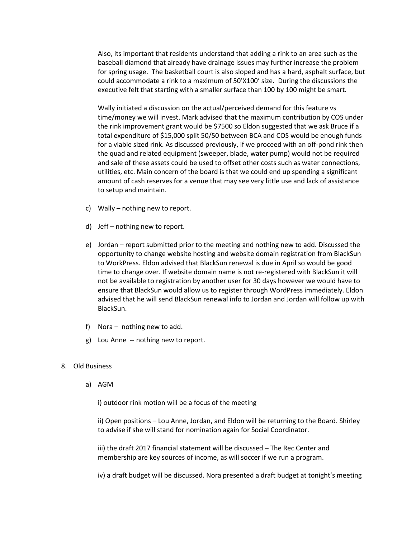Also, its important that residents understand that adding a rink to an area such as the baseball diamond that already have drainage issues may further increase the problem for spring usage. The basketball court is also sloped and has a hard, asphalt surface, but could accommodate a rink to a maximum of 50'X100' size. During the discussions the executive felt that starting with a smaller surface than 100 by 100 might be smart.

Wally initiated a discussion on the actual/perceived demand for this feature vs time/money we will invest. Mark advised that the maximum contribution by COS under the rink improvement grant would be \$7500 so Eldon suggested that we ask Bruce if a total expenditure of \$15,000 split 50/50 between BCA and COS would be enough funds for a viable sized rink. As discussed previously, if we proceed with an off-pond rink then the quad and related equipment (sweeper, blade, water pump) would not be required and sale of these assets could be used to offset other costs such as water connections, utilities, etc. Main concern of the board is that we could end up spending a significant amount of cash reserves for a venue that may see very little use and lack of assistance to setup and maintain.

- c) Wally nothing new to report.
- d) Jeff nothing new to report.
- e) Jordan report submitted prior to the meeting and nothing new to add. Discussed the opportunity to change website hosting and website domain registration from BlackSun to WorkPress. Eldon advised that BlackSun renewal is due in April so would be good time to change over. If website domain name is not re-registered with BlackSun it will not be available to registration by another user for 30 days however we would have to ensure that BlackSun would allow us to register through WordPress immediately. Eldon advised that he will send BlackSun renewal info to Jordan and Jordan will follow up with BlackSun.
- f) Nora nothing new to add.
- g) Lou Anne -- nothing new to report.

## 8. Old Business

a) AGM

i) outdoor rink motion will be a focus of the meeting

ii) Open positions – Lou Anne, Jordan, and Eldon will be returning to the Board. Shirley to advise if she will stand for nomination again for Social Coordinator.

iii) the draft 2017 financial statement will be discussed – The Rec Center and membership are key sources of income, as will soccer if we run a program.

iv) a draft budget will be discussed. Nora presented a draft budget at tonight's meeting